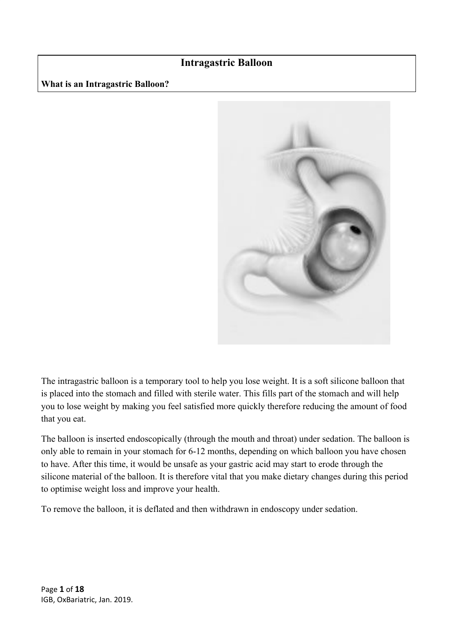# **Intragastric Balloon**

**What is an Intragastric Balloon?**



The intragastric balloon is a temporary tool to help you lose weight. It is a soft silicone balloon that is placed into the stomach and filled with sterile water. This fills part of the stomach and will help you to lose weight by making you feel satisfied more quickly therefore reducing the amount of food that you eat.

The balloon is inserted endoscopically (through the mouth and throat) under sedation. The balloon is only able to remain in your stomach for 6-12 months, depending on which balloon you have chosen to have. After this time, it would be unsafe as your gastric acid may start to erode through the silicone material of the balloon. It is therefore vital that you make dietary changes during this period to optimise weight loss and improve your health.

To remove the balloon, it is deflated and then withdrawn in endoscopy under sedation.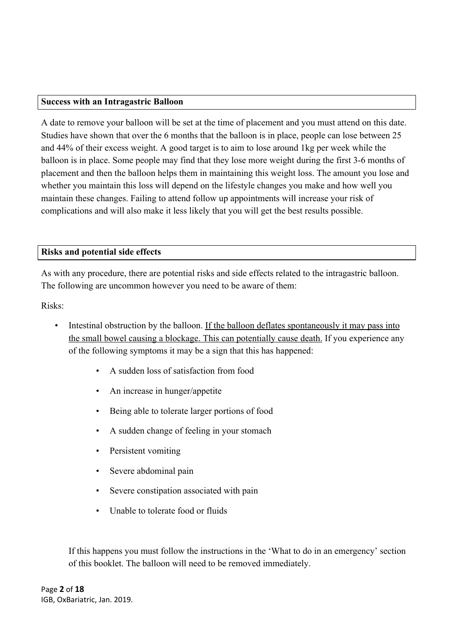#### **Success with an Intragastric Balloon**

A date to remove your balloon will be set at the time of placement and you must attend on this date. Studies have shown that over the 6 months that the balloon is in place, people can lose between 25 and 44% of their excess weight. A good target is to aim to lose around 1kg per week while the balloon is in place. Some people may find that they lose more weight during the first 3-6 months of placement and then the balloon helps them in maintaining this weight loss. The amount you lose and whether you maintain this loss will depend on the lifestyle changes you make and how well you maintain these changes. Failing to attend follow up appointments will increase your risk of complications and will also make it less likely that you will get the best results possible.

### **Risks and potential side effects**

As with any procedure, there are potential risks and side effects related to the intragastric balloon. The following are uncommon however you need to be aware of them:

Risks:

- Intestinal obstruction by the balloon. If the balloon deflates spontaneously it may pass into the small bowel causing a blockage. This can potentially cause death. If you experience any of the following symptoms it may be a sign that this has happened:
	- A sudden loss of satisfaction from food
	- An increase in hunger/appetite
	- Being able to tolerate larger portions of food
	- A sudden change of feeling in your stomach
	- Persistent vomiting
	- Severe abdominal pain
	- Severe constipation associated with pain
	- Unable to tolerate food or fluids

If this happens you must follow the instructions in the 'What to do in an emergency' section of this booklet. The balloon will need to be removed immediately.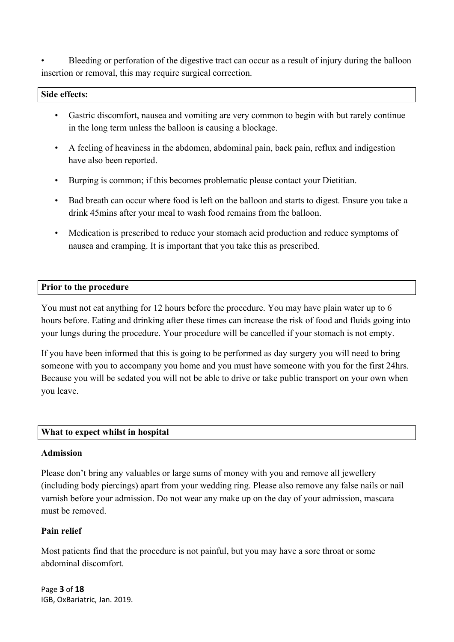Bleeding or perforation of the digestive tract can occur as a result of injury during the balloon insertion or removal, this may require surgical correction.

#### **Side effects:**

- Gastric discomfort, nausea and vomiting are very common to begin with but rarely continue in the long term unless the balloon is causing a blockage.
- A feeling of heaviness in the abdomen, abdominal pain, back pain, reflux and indigestion have also been reported.
- Burping is common; if this becomes problematic please contact your Dietitian.
- Bad breath can occur where food is left on the balloon and starts to digest. Ensure you take a drink 45mins after your meal to wash food remains from the balloon.
- Medication is prescribed to reduce your stomach acid production and reduce symptoms of nausea and cramping. It is important that you take this as prescribed.

#### **Prior to the procedure**

You must not eat anything for 12 hours before the procedure. You may have plain water up to 6 hours before. Eating and drinking after these times can increase the risk of food and fluids going into your lungs during the procedure. Your procedure will be cancelled if your stomach is not empty.

If you have been informed that this is going to be performed as day surgery you will need to bring someone with you to accompany you home and you must have someone with you for the first 24hrs. Because you will be sedated you will not be able to drive or take public transport on your own when you leave.

### **What to expect whilst in hospital**

#### **Admission**

Please don't bring any valuables or large sums of money with you and remove all jewellery (including body piercings) apart from your wedding ring. Please also remove any false nails or nail varnish before your admission. Do not wear any make up on the day of your admission, mascara must be removed.

### **Pain relief**

Most patients find that the procedure is not painful, but you may have a sore throat or some abdominal discomfort.

Page **3** of **18** IGB, OxBariatric, Jan. 2019.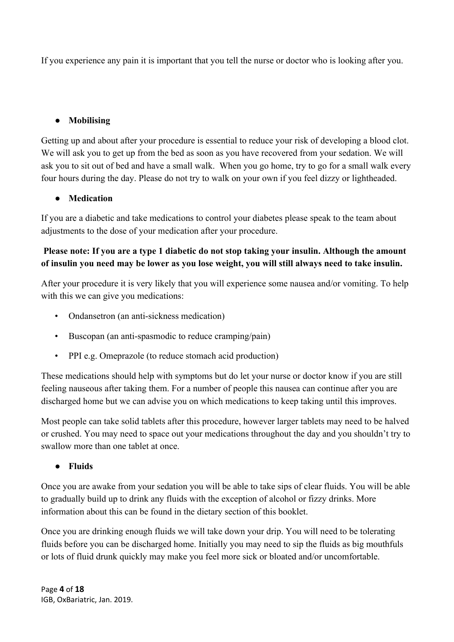If you experience any pain it is important that you tell the nurse or doctor who is looking after you.

# ● **Mobilising**

Getting up and about after your procedure is essential to reduce your risk of developing a blood clot. We will ask you to get up from the bed as soon as you have recovered from your sedation. We will ask you to sit out of bed and have a small walk. When you go home, try to go for a small walk every four hours during the day. Please do not try to walk on your own if you feel dizzy or lightheaded.

# ● **Medication**

If you are a diabetic and take medications to control your diabetes please speak to the team about adjustments to the dose of your medication after your procedure.

# **Please note: If you are a type 1 diabetic do not stop taking your insulin. Although the amount of insulin you need may be lower as you lose weight, you will still always need to take insulin.**

After your procedure it is very likely that you will experience some nausea and/or vomiting. To help with this we can give you medications:

- Ondansetron (an anti-sickness medication)
- Buscopan (an anti-spasmodic to reduce cramping/pain)
- PPI e.g. Omeprazole (to reduce stomach acid production)

These medications should help with symptoms but do let your nurse or doctor know if you are still feeling nauseous after taking them. For a number of people this nausea can continue after you are discharged home but we can advise you on which medications to keep taking until this improves.

Most people can take solid tablets after this procedure, however larger tablets may need to be halved or crushed. You may need to space out your medications throughout the day and you shouldn't try to swallow more than one tablet at once.

### ● **Fluids**

Once you are awake from your sedation you will be able to take sips of clear fluids. You will be able to gradually build up to drink any fluids with the exception of alcohol or fizzy drinks. More information about this can be found in the dietary section of this booklet.

Once you are drinking enough fluids we will take down your drip. You will need to be tolerating fluids before you can be discharged home. Initially you may need to sip the fluids as big mouthfuls or lots of fluid drunk quickly may make you feel more sick or bloated and/or uncomfortable.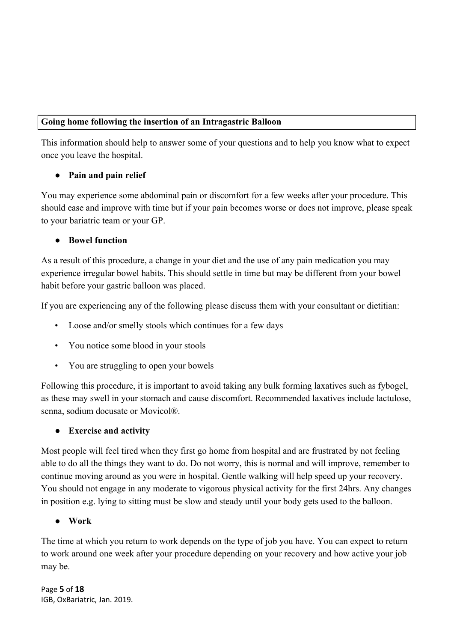### **Going home following the insertion of an Intragastric Balloon**

This information should help to answer some of your questions and to help you know what to expect once you leave the hospital.

# ● **Pain and pain relief**

You may experience some abdominal pain or discomfort for a few weeks after your procedure. This should ease and improve with time but if your pain becomes worse or does not improve, please speak to your bariatric team or your GP.

# **Bowel function**

As a result of this procedure, a change in your diet and the use of any pain medication you may experience irregular bowel habits. This should settle in time but may be different from your bowel habit before your gastric balloon was placed.

If you are experiencing any of the following please discuss them with your consultant or dietitian:

- Loose and/or smelly stools which continues for a few days
- You notice some blood in your stools
- You are struggling to open your bowels

Following this procedure, it is important to avoid taking any bulk forming laxatives such as fybogel, as these may swell in your stomach and cause discomfort. Recommended laxatives include lactulose, senna, sodium docusate or Movicol®.

### ● **Exercise and activity**

Most people will feel tired when they first go home from hospital and are frustrated by not feeling able to do all the things they want to do. Do not worry, this is normal and will improve, remember to continue moving around as you were in hospital. Gentle walking will help speed up your recovery. You should not engage in any moderate to vigorous physical activity for the first 24hrs. Any changes in position e.g. lying to sitting must be slow and steady until your body gets used to the balloon.

### ● **Work**

The time at which you return to work depends on the type of job you have. You can expect to return to work around one week after your procedure depending on your recovery and how active your job may be.

Page **5** of **18** IGB, OxBariatric, Jan. 2019.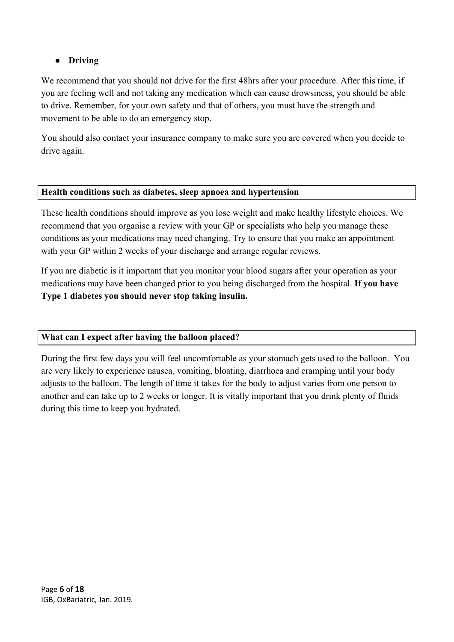# ● **Driving**

We recommend that you should not drive for the first 48hrs after your procedure. After this time, if you are feeling well and not taking any medication which can cause drowsiness, you should be able to drive. Remember, for your own safety and that of others, you must have the strength and movement to be able to do an emergency stop.

You should also contact your insurance company to make sure you are covered when you decide to drive again.

### **Health conditions such as diabetes, sleep apnoea and hypertension**

These health conditions should improve as you lose weight and make healthy lifestyle choices. We recommend that you organise a review with your GP or specialists who help you manage these conditions as your medications may need changing. Try to ensure that you make an appointment with your GP within 2 weeks of your discharge and arrange regular reviews.

If you are diabetic is it important that you monitor your blood sugars after your operation as your medications may have been changed prior to you being discharged from the hospital. **If you have Type 1 diabetes you should never stop taking insulin.**

### **What can I expect after having the balloon placed?**

During the first few days you will feel uncomfortable as your stomach gets used to the balloon. You are very likely to experience nausea, vomiting, bloating, diarrhoea and cramping until your body adjusts to the balloon. The length of time it takes for the body to adjust varies from one person to another and can take up to 2 weeks or longer. It is vitally important that you drink plenty of fluids during this time to keep you hydrated.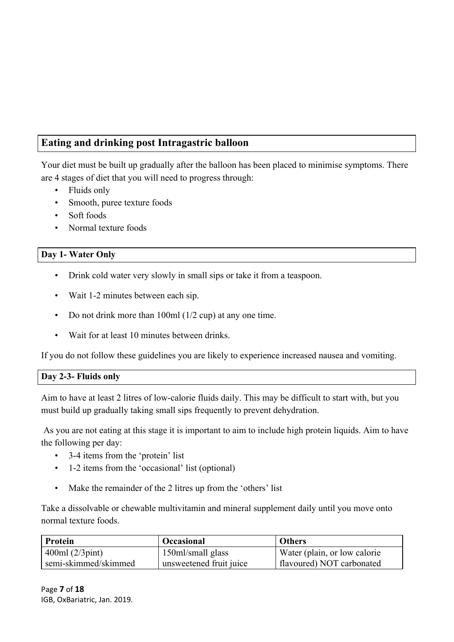# **Eating and drinking post Intragastric balloon**

Your diet must be built up gradually after the balloon has been placed to minimise symptoms. There are 4 stages of diet that you will need to progress through:

- Fluids only
- Smooth, puree texture foods
- Soft foods
- Normal texture foods

# **Day 1- Water Only**

- Drink cold water very slowly in small sips or take it from a teaspoon.
- Wait 1-2 minutes between each sip.
- Do not drink more than 100ml (1/2 cup) at any one time.
- Wait for at least 10 minutes between drinks.

If you do not follow these guidelines you are likely to experience increased nausea and vomiting.

### **Day 2-3- Fluids only**

Aim to have at least 2 litres of low-calorie fluids daily. This may be difficult to start with, but you must build up gradually taking small sips frequently to prevent dehydration.

 As you are not eating at this stage it is important to aim to include high protein liquids. Aim to have the following per day:

- 3-4 items from the 'protein' list
- 1-2 items from the 'occasional' list (optional)
- Make the remainder of the 2 litres up from the 'others' list

Take a dissolvable or chewable multivitamin and mineral supplement daily until you move onto normal texture foods.

| Protein              | <b>Occasional</b>       | <b>Others</b>                |
|----------------------|-------------------------|------------------------------|
| 400ml (2/3pint)      | 150ml/small glass       | Water (plain, or low calorie |
| semi-skimmed/skimmed | unsweetened fruit juice | flavoured) NOT carbonated    |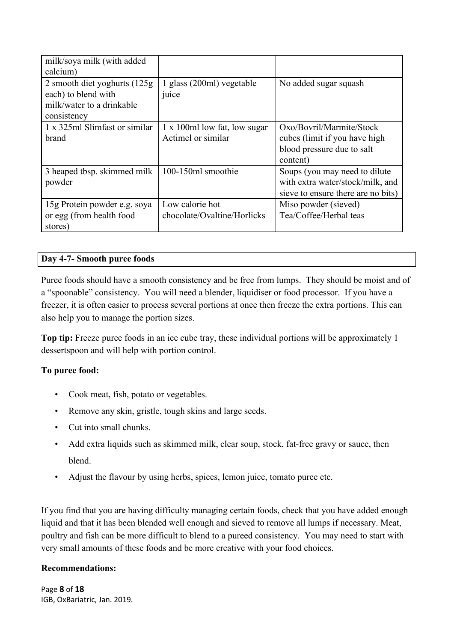| milk/soya milk (with added                                                                       |                                                    |                                                                                                         |
|--------------------------------------------------------------------------------------------------|----------------------------------------------------|---------------------------------------------------------------------------------------------------------|
| calcium)                                                                                         |                                                    |                                                                                                         |
| 2 smooth diet yoghurts (125g)<br>each) to blend with<br>milk/water to a drinkable<br>consistency | 1 glass (200ml) vegetable<br>juice                 | No added sugar squash                                                                                   |
| 1 x 325ml Slimfast or similar<br>brand                                                           | 1 x 100ml low fat, low sugar<br>Actimel or similar | Oxo/Bovril/Marmite/Stock<br>cubes (limit if you have high<br>blood pressure due to salt<br>content)     |
| 3 heaped tbsp. skimmed milk<br>powder                                                            | 100-150ml smoothie                                 | Soups (you may need to dilute<br>with extra water/stock/milk, and<br>sieve to ensure there are no bits) |
| 15g Protein powder e.g. soya<br>or egg (from health food<br>stores)                              | Low calorie hot<br>chocolate/Ovaltine/Horlicks     | Miso powder (sieved)<br>Tea/Coffee/Herbal teas                                                          |

### **Day 4-7- Smooth puree foods**

Puree foods should have a smooth consistency and be free from lumps. They should be moist and of a "spoonable" consistency. You will need a blender, liquidiser or food processor. If you have a freezer, it is often easier to process several portions at once then freeze the extra portions. This can also help you to manage the portion sizes.

**Top tip:** Freeze puree foods in an ice cube tray, these individual portions will be approximately 1 dessertspoon and will help with portion control.

### **To puree food:**

- Cook meat, fish, potato or vegetables.
- Remove any skin, gristle, tough skins and large seeds.
- Cut into small chunks.
- Add extra liquids such as skimmed milk, clear soup, stock, fat-free gravy or sauce, then blend.
- Adjust the flavour by using herbs, spices, lemon juice, tomato puree etc.

If you find that you are having difficulty managing certain foods, check that you have added enough liquid and that it has been blended well enough and sieved to remove all lumps if necessary. Meat, poultry and fish can be more difficult to blend to a pureed consistency. You may need to start with very small amounts of these foods and be more creative with your food choices.

### **Recommendations:**

Page **8** of **18** IGB, OxBariatric, Jan. 2019.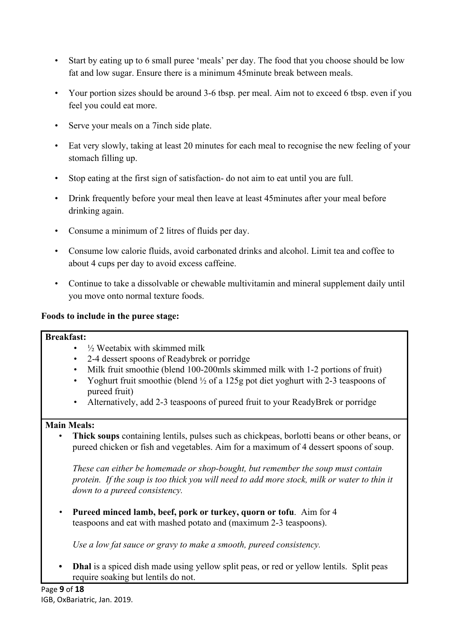- Start by eating up to 6 small puree 'meals' per day. The food that you choose should be low fat and low sugar. Ensure there is a minimum 45minute break between meals.
- Your portion sizes should be around 3-6 tbsp. per meal. Aim not to exceed 6 tbsp. even if you feel you could eat more.
- Serve your meals on a 7inch side plate.
- Eat very slowly, taking at least 20 minutes for each meal to recognise the new feeling of your stomach filling up.
- Stop eating at the first sign of satisfaction- do not aim to eat until you are full.
- Drink frequently before your meal then leave at least 45minutes after your meal before drinking again.
- Consume a minimum of 2 litres of fluids per day.
- Consume low calorie fluids, avoid carbonated drinks and alcohol. Limit tea and coffee to about 4 cups per day to avoid excess caffeine.
- Continue to take a dissolvable or chewable multivitamin and mineral supplement daily until you move onto normal texture foods.

### **Foods to include in the puree stage:**

### **Breakfast:**

- $\frac{1}{2}$  Weetabix with skimmed milk
- 2-4 dessert spoons of Readybrek or porridge
- Milk fruit smoothie (blend 100-200mls skimmed milk with 1-2 portions of fruit)
- Yoghurt fruit smoothie (blend  $\frac{1}{2}$  of a 125g pot diet yoghurt with 2-3 teaspoons of pureed fruit)
- Alternatively, add 2-3 teaspoons of pureed fruit to your ReadyBrek or porridge

### **Main Meals:**

• **Thick soups** containing lentils, pulses such as chickpeas, borlotti beans or other beans, or pureed chicken or fish and vegetables. Aim for a maximum of 4 dessert spoons of soup.

*These can either be homemade or shop-bought, but remember the soup must contain protein. If the soup is too thick you will need to add more stock, milk or water to thin it down to a pureed consistency.*

*•* **Pureed minced lamb, beef, pork or turkey, quorn or tofu**. Aim for 4 teaspoons and eat with mashed potato and (maximum 2-3 teaspoons).

*Use a low fat sauce or gravy to make a smooth, pureed consistency.*

**• Dhal** is a spiced dish made using yellow split peas, or red or yellow lentils. Split peas require soaking but lentils do not.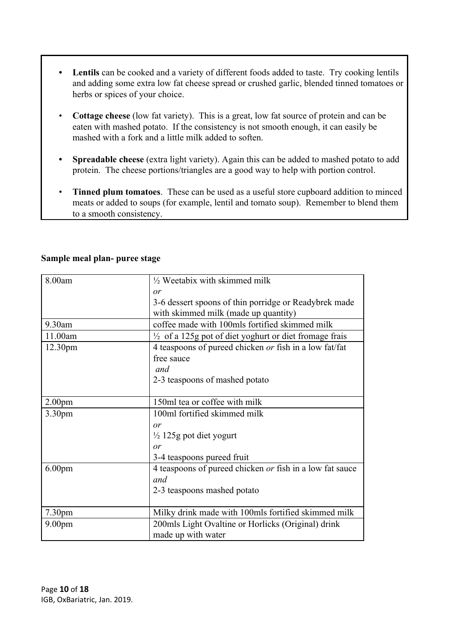- **• Lentils** can be cooked and a variety of different foods added to taste. Try cooking lentils and adding some extra low fat cheese spread or crushed garlic, blended tinned tomatoes or herbs or spices of your choice.
- **Cottage cheese** (low fat variety). This is a great, low fat source of protein and can be eaten with mashed potato. If the consistency is not smooth enough, it can easily be mashed with a fork and a little milk added to soften.
- **• Spreadable cheese** (extra light variety). Again this can be added to mashed potato to add protein. The cheese portions/triangles are a good way to help with portion control.
- **Tinned plum tomatoes**. These can be used as a useful store cupboard addition to minced meats or added to soups (for example, lentil and tomato soup). Remember to blend them to a smooth consistency.

| 8.00am             | $\frac{1}{2}$ Weetabix with skimmed milk                          |
|--------------------|-------------------------------------------------------------------|
|                    | or                                                                |
|                    | 3-6 dessert spoons of thin porridge or Readybrek made             |
|                    | with skimmed milk (made up quantity)                              |
| 9.30am             | coffee made with 100mls fortified skimmed milk                    |
| 11.00am            | $\frac{1}{2}$ of a 125g pot of diet yoghurt or diet fromage frais |
| 12.30pm            | 4 teaspoons of pureed chicken or fish in a low fat/fat            |
|                    | free sauce                                                        |
|                    | and                                                               |
|                    | 2-3 teaspoons of mashed potato                                    |
|                    |                                                                   |
| 2.00 <sub>pm</sub> | 150ml tea or coffee with milk                                     |
| 3.30 <sub>pm</sub> | 100ml fortified skimmed milk                                      |
|                    | $\alpha r$                                                        |
|                    | $\frac{1}{2}$ 125g pot diet yogurt                                |
|                    | or                                                                |
|                    | 3-4 teaspoons pureed fruit                                        |
| 6.00 <sub>pm</sub> | 4 teaspoons of pureed chicken or fish in a low fat sauce          |
|                    | and                                                               |
|                    | 2-3 teaspoons mashed potato                                       |
|                    |                                                                   |
| 7.30 <sub>pm</sub> | Milky drink made with 100mls fortified skimmed milk               |
| 9.00 <sub>pm</sub> | 200mls Light Ovaltine or Horlicks (Original) drink                |
|                    | made up with water                                                |

### **Sample meal plan- puree stage**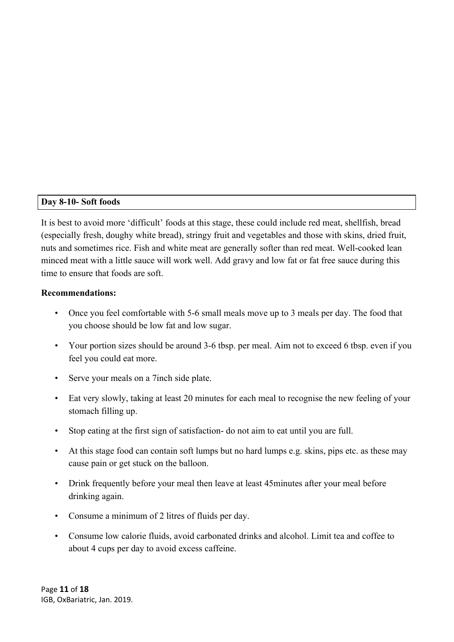### **Day 8-10- Soft foods**

It is best to avoid more 'difficult' foods at this stage, these could include red meat, shellfish, bread (especially fresh, doughy white bread), stringy fruit and vegetables and those with skins, dried fruit, nuts and sometimes rice. Fish and white meat are generally softer than red meat. Well-cooked lean minced meat with a little sauce will work well. Add gravy and low fat or fat free sauce during this time to ensure that foods are soft.

#### **Recommendations:**

- Once you feel comfortable with 5-6 small meals move up to 3 meals per day. The food that you choose should be low fat and low sugar.
- Your portion sizes should be around 3-6 tbsp. per meal. Aim not to exceed 6 tbsp. even if you feel you could eat more.
- Serve your meals on a 7 inch side plate.
- Eat very slowly, taking at least 20 minutes for each meal to recognise the new feeling of your stomach filling up.
- Stop eating at the first sign of satisfaction- do not aim to eat until you are full.
- At this stage food can contain soft lumps but no hard lumps e.g. skins, pips etc. as these may cause pain or get stuck on the balloon.
- Drink frequently before your meal then leave at least 45 minutes after your meal before drinking again.
- Consume a minimum of 2 litres of fluids per day.
- Consume low calorie fluids, avoid carbonated drinks and alcohol. Limit tea and coffee to about 4 cups per day to avoid excess caffeine.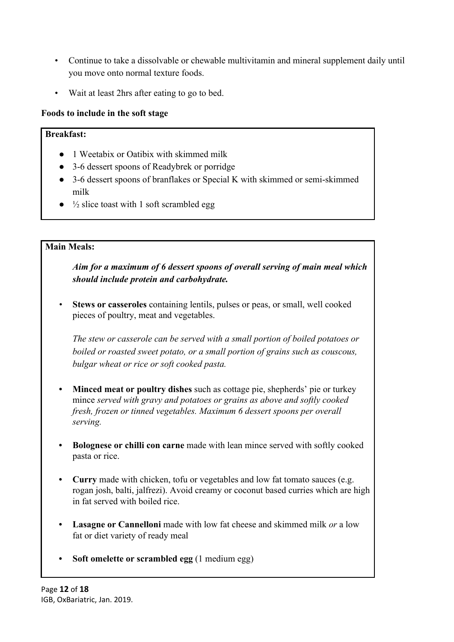- Continue to take a dissolvable or chewable multivitamin and mineral supplement daily until you move onto normal texture foods.
- Wait at least 2hrs after eating to go to bed.

### **Foods to include in the soft stage**

### **Breakfast:**

- 1 Weetabix or Oatibix with skimmed milk
- 3-6 dessert spoons of Readybrek or porridge
- 3-6 dessert spoons of branflakes or Special K with skimmed or semi-skimmed milk
- **●** ½ slice toast with 1 soft scrambled egg

### **Main Meals:**

*Aim for a maximum of 6 dessert spoons of overall serving of main meal which should include protein and carbohydrate.*

*•* **Stews or casseroles** containing lentils, pulses or peas, or small, well cooked pieces of poultry, meat and vegetables.

*The stew or casserole can be served with a small portion of boiled potatoes or boiled or roasted sweet potato, or a small portion of grains such as couscous, bulgar wheat or rice or soft cooked pasta.*

- **Minced meat or poultry dishes** such as cottage pie, shepherds' pie or turkey mince *served with gravy and potatoes or grains as above and softly cooked fresh, frozen or tinned vegetables. Maximum 6 dessert spoons per overall serving.*
- **• Bolognese or chilli con carne** made with lean mince served with softly cooked pasta or rice.
- **• Curry** made with chicken, tofu or vegetables and low fat tomato sauces (e.g. rogan josh, balti, jalfrezi). Avoid creamy or coconut based curries which are high in fat served with boiled rice.
- **• Lasagne or Cannelloni** made with low fat cheese and skimmed milk *or* a low fat or diet variety of ready meal
- **• Soft omelette or scrambled egg** (1 medium egg)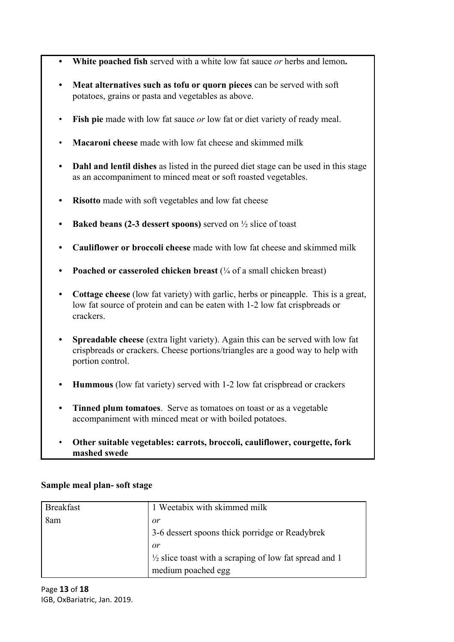- **• White poached fish** served with a white low fat sauce *or* herbs and lemon**.**
- **• Meat alternatives such as tofu or quorn pieces** can be served with soft potatoes, grains or pasta and vegetables as above.
- **Fish pie** made with low fat sauce *or* low fat or diet variety of ready meal.
- **Macaroni cheese** made with low fat cheese and skimmed milk
- **• Dahl and lentil dishes** as listed in the pureed diet stage can be used in this stage as an accompaniment to minced meat or soft roasted vegetables.
- **• Risotto** made with soft vegetables and low fat cheese
- **• Baked beans (2-3 dessert spoons)** served on ½ slice of toast
- **• Cauliflower or broccoli cheese** made with low fat cheese and skimmed milk
- **•• Poached or casseroled chicken breast** ( $\frac{1}{4}$  of a small chicken breast)
- **• Cottage cheese** (low fat variety) with garlic, herbs or pineapple. This is a great, low fat source of protein and can be eaten with 1-2 low fat crispbreads or crackers.
- **• Spreadable cheese** (extra light variety). Again this can be served with low fat crispbreads or crackers. Cheese portions/triangles are a good way to help with portion control.
- **• Hummous** (low fat variety) served with 1-2 low fat crispbread or crackers
- **• Tinned plum tomatoes**. Serve as tomatoes on toast or as a vegetable accompaniment with minced meat or with boiled potatoes.
- **Other suitable vegetables: carrots, broccoli, cauliflower, courgette, fork mashed swede**

#### **Sample meal plan- soft stage**

| <b>Breakfast</b> | 1 Weetabix with skimmed milk                                      |
|------------------|-------------------------------------------------------------------|
| 8am              | or                                                                |
|                  | 3-6 dessert spoons thick porridge or Readybrek                    |
|                  | or                                                                |
|                  | $\frac{1}{2}$ slice toast with a scraping of low fat spread and 1 |
|                  | medium poached egg                                                |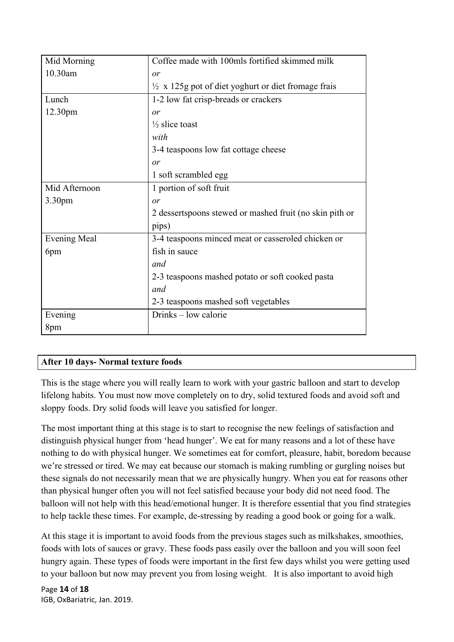| Mid Morning         | Coffee made with 100mls fortified skimmed milk                 |
|---------------------|----------------------------------------------------------------|
| 10.30am             | or                                                             |
|                     | $\frac{1}{2}$ x 125g pot of diet yoghurt or diet fromage frais |
| Lunch               | 1-2 low fat crisp-breads or crackers                           |
| 12.30pm             | or                                                             |
|                     | $\frac{1}{2}$ slice toast                                      |
|                     | with                                                           |
|                     | 3-4 teaspoons low fat cottage cheese                           |
|                     | or                                                             |
|                     | 1 soft scrambled egg                                           |
| Mid Afternoon       | 1 portion of soft fruit                                        |
| 3.30pm              | or                                                             |
|                     | 2 dessertspoons stewed or mashed fruit (no skin pith or        |
|                     | pips)                                                          |
| <b>Evening Meal</b> | 3-4 teaspoons minced meat or casseroled chicken or             |
| 6pm                 | fish in sauce                                                  |
|                     | and                                                            |
|                     | 2-3 teaspoons mashed potato or soft cooked pasta               |
|                     | and                                                            |
|                     | 2-3 teaspoons mashed soft vegetables                           |
| Evening             | Drinks – low calorie                                           |
| 8pm                 |                                                                |

### **After 10 days- Normal texture foods**

This is the stage where you will really learn to work with your gastric balloon and start to develop lifelong habits. You must now move completely on to dry, solid textured foods and avoid soft and sloppy foods. Dry solid foods will leave you satisfied for longer.

The most important thing at this stage is to start to recognise the new feelings of satisfaction and distinguish physical hunger from 'head hunger'. We eat for many reasons and a lot of these have nothing to do with physical hunger. We sometimes eat for comfort, pleasure, habit, boredom because we're stressed or tired. We may eat because our stomach is making rumbling or gurgling noises but these signals do not necessarily mean that we are physically hungry. When you eat for reasons other than physical hunger often you will not feel satisfied because your body did not need food. The balloon will not help with this head/emotional hunger. It is therefore essential that you find strategies to help tackle these times. For example, de-stressing by reading a good book or going for a walk.

At this stage it is important to avoid foods from the previous stages such as milkshakes, smoothies, foods with lots of sauces or gravy. These foods pass easily over the balloon and you will soon feel hungry again. These types of foods were important in the first few days whilst you were getting used to your balloon but now may prevent you from losing weight. It is also important to avoid high

Page **14** of **18** IGB, OxBariatric, Jan. 2019.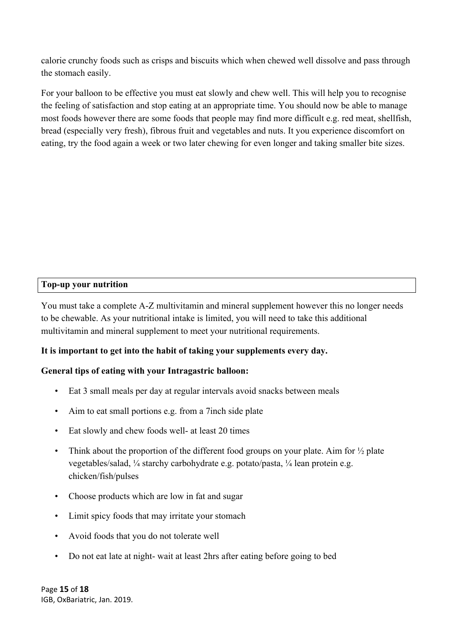calorie crunchy foods such as crisps and biscuits which when chewed well dissolve and pass through the stomach easily.

For your balloon to be effective you must eat slowly and chew well. This will help you to recognise the feeling of satisfaction and stop eating at an appropriate time. You should now be able to manage most foods however there are some foods that people may find more difficult e.g. red meat, shellfish, bread (especially very fresh), fibrous fruit and vegetables and nuts. It you experience discomfort on eating, try the food again a week or two later chewing for even longer and taking smaller bite sizes.

### **Top-up your nutrition**

You must take a complete A-Z multivitamin and mineral supplement however this no longer needs to be chewable. As your nutritional intake is limited, you will need to take this additional multivitamin and mineral supplement to meet your nutritional requirements.

### **It is important to get into the habit of taking your supplements every day.**

### **General tips of eating with your Intragastric balloon:**

- Eat 3 small meals per day at regular intervals avoid snacks between meals
- Aim to eat small portions e.g. from a 7 inch side plate
- Eat slowly and chew foods well- at least 20 times
- Think about the proportion of the different food groups on your plate. Aim for  $\frac{1}{2}$  plate vegetables/salad, ¼ starchy carbohydrate e.g. potato/pasta, ¼ lean protein e.g. chicken/fish/pulses
- Choose products which are low in fat and sugar
- Limit spicy foods that may irritate your stomach
- Avoid foods that you do not tolerate well
- Do not eat late at night- wait at least 2hrs after eating before going to bed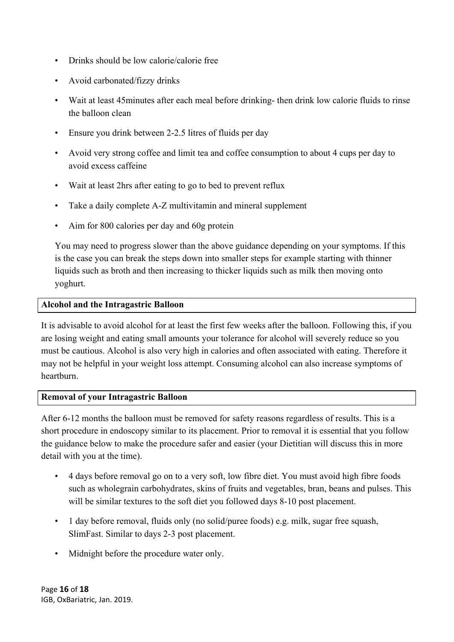- Drinks should be low calorie/calorie free
- Avoid carbonated/fizzy drinks
- Wait at least 45minutes after each meal before drinking- then drink low calorie fluids to rinse the balloon clean
- Ensure you drink between 2-2.5 litres of fluids per day
- Avoid very strong coffee and limit tea and coffee consumption to about 4 cups per day to avoid excess caffeine
- Wait at least 2hrs after eating to go to bed to prevent reflux
- Take a daily complete A-Z multivitamin and mineral supplement
- Aim for 800 calories per day and 60g protein

You may need to progress slower than the above guidance depending on your symptoms. If this is the case you can break the steps down into smaller steps for example starting with thinner liquids such as broth and then increasing to thicker liquids such as milk then moving onto yoghurt.

#### **Alcohol and the Intragastric Balloon**

It is advisable to avoid alcohol for at least the first few weeks after the balloon. Following this, if you are losing weight and eating small amounts your tolerance for alcohol will severely reduce so you must be cautious. Alcohol is also very high in calories and often associated with eating. Therefore it may not be helpful in your weight loss attempt. Consuming alcohol can also increase symptoms of heartburn.

### **Removal of your Intragastric Balloon**

After 6-12 months the balloon must be removed for safety reasons regardless of results. This is a short procedure in endoscopy similar to its placement. Prior to removal it is essential that you follow the guidance below to make the procedure safer and easier (your Dietitian will discuss this in more detail with you at the time).

- 4 days before removal go on to a very soft, low fibre diet. You must avoid high fibre foods such as wholegrain carbohydrates, skins of fruits and vegetables, bran, beans and pulses. This will be similar textures to the soft diet you followed days 8-10 post placement.
- 1 day before removal, fluids only (no solid/puree foods) e.g. milk, sugar free squash, SlimFast. Similar to days 2-3 post placement.
- Midnight before the procedure water only.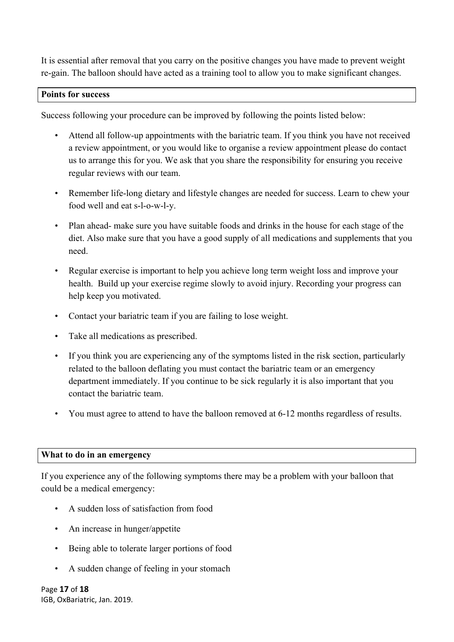It is essential after removal that you carry on the positive changes you have made to prevent weight re-gain. The balloon should have acted as a training tool to allow you to make significant changes.

### **Points for success**

Success following your procedure can be improved by following the points listed below:

- Attend all follow-up appointments with the bariatric team. If you think you have not received a review appointment, or you would like to organise a review appointment please do contact us to arrange this for you. We ask that you share the responsibility for ensuring you receive regular reviews with our team.
- Remember life-long dietary and lifestyle changes are needed for success. Learn to chew your food well and eat s-l-o-w-l-y.
- Plan ahead- make sure you have suitable foods and drinks in the house for each stage of the diet. Also make sure that you have a good supply of all medications and supplements that you need.
- Regular exercise is important to help you achieve long term weight loss and improve your health. Build up your exercise regime slowly to avoid injury. Recording your progress can help keep you motivated.
- Contact your bariatric team if you are failing to lose weight.
- Take all medications as prescribed.
- If you think you are experiencing any of the symptoms listed in the risk section, particularly related to the balloon deflating you must contact the bariatric team or an emergency department immediately. If you continue to be sick regularly it is also important that you contact the bariatric team.
- You must agree to attend to have the balloon removed at 6-12 months regardless of results.

#### **What to do in an emergency**

If you experience any of the following symptoms there may be a problem with your balloon that could be a medical emergency:

- A sudden loss of satisfaction from food
- An increase in hunger/appetite
- Being able to tolerate larger portions of food
- A sudden change of feeling in your stomach

Page **17** of **18** IGB, OxBariatric, Jan. 2019.